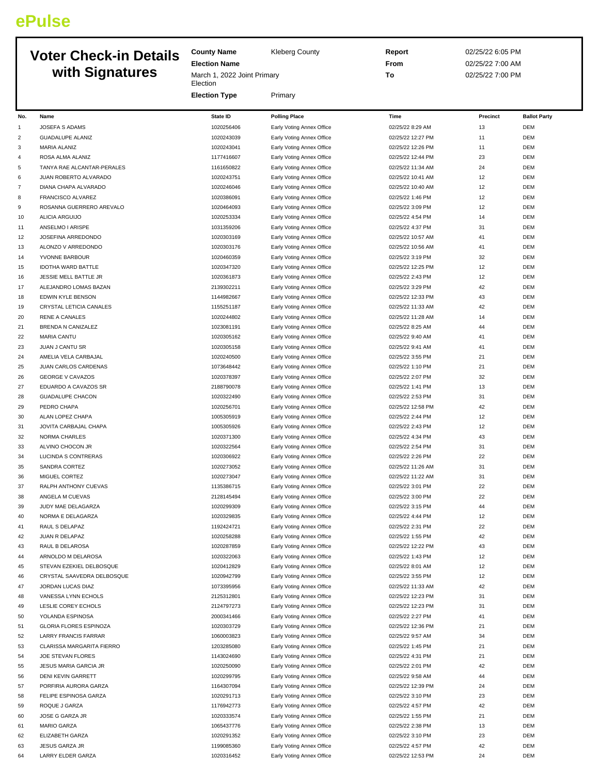## **ePulse**

## **Election Name Voter Check-in Details with**

|                | <b>Voter Check-in Details</b> | <b>County Name</b>                            | <b>Kleberg County</b>     | <b>Report</b>     | 02/25/22 6:05 PM |                     |
|----------------|-------------------------------|-----------------------------------------------|---------------------------|-------------------|------------------|---------------------|
|                |                               | <b>Election Name</b>                          |                           | From              | 02/25/22 7:00 AM |                     |
|                | with Signatures               | March 1, 2022 Joint Primary<br>To<br>Election |                           | 02/25/22 7:00 PM  |                  |                     |
|                |                               | <b>Election Type</b>                          | Primary                   |                   |                  |                     |
| No.            | Name                          | State ID                                      | <b>Polling Place</b>      | Time              | Precinct         | <b>Ballot Party</b> |
| $\mathbf{1}$   | JOSEFA S ADAMS                | 1020256406                                    |                           | 02/25/22 8:29 AM  | 13               | <b>DEM</b>          |
|                |                               |                                               | Early Voting Annex Office |                   |                  |                     |
| 2              | <b>GUADALUPE ALANIZ</b>       | 1020243039                                    | Early Voting Annex Office | 02/25/22 12:27 PM | 11               | <b>DEM</b>          |
| 3              | MARIA ALANIZ                  | 1020243041                                    | Early Voting Annex Office | 02/25/22 12:26 PM | 11               | <b>DEM</b>          |
| 4              | ROSA ALMA ALANIZ              | 1177416607                                    | Early Voting Annex Office | 02/25/22 12:44 PM | 23               | <b>DEM</b>          |
| 5              | TANYA RAE ALCANTAR-PERALES    | 1161650822                                    | Early Voting Annex Office | 02/25/22 11:34 AM | 24               | <b>DEM</b>          |
| 6              | JUAN ROBERTO ALVARADO         | 1020243751                                    | Early Voting Annex Office | 02/25/22 10:41 AM | 12               | <b>DEM</b>          |
| $\overline{7}$ | DIANA CHAPA ALVARADO          | 1020246046                                    | Early Voting Annex Office | 02/25/22 10:40 AM | 12               | <b>DEM</b>          |
| 8              | FRANCISCO ALVAREZ             | 1020386091                                    | Early Voting Annex Office | 02/25/22 1:46 PM  | 12               | <b>DEM</b>          |
| 9              | ROSANNA GUERRERO AREVALO      | 1020464093                                    | Early Voting Annex Office | 02/25/22 3:09 PM  | 12               | <b>DEM</b>          |
| 10             | <b>ALICIA ARGUIJO</b>         | 1020253334                                    | Early Voting Annex Office | 02/25/22 4:54 PM  | 14               | <b>DEM</b>          |
| 11             | ANSELMO I ARISPE              | 1031359206                                    | Early Voting Annex Office | 02/25/22 4:37 PM  | 31               | <b>DEM</b>          |
| 12             | JOSEFINA ARREDONDO            | 1020303169                                    | Early Voting Annex Office | 02/25/22 10:57 AM | 41               | <b>DEM</b>          |
| 13             | ALONZO V ARREDONDO            | 1020303176                                    | Early Voting Annex Office | 02/25/22 10:56 AM | 41               | <b>DEM</b>          |
| 14             | YVONNE BARBOUR                | 1020460359                                    | Early Voting Annex Office | 02/25/22 3:19 PM  | 32               | <b>DEM</b>          |
| 15             | <b>IDOTHA WARD BATTLE</b>     | 1020347320                                    | Early Voting Annex Office | 02/25/22 12:25 PM | 12               | <b>DEM</b>          |
| 16             | JESSIE MELL BATTLE JR         | 1020361873                                    | Early Voting Annex Office | 02/25/22 2:43 PM  | 12               | <b>DEM</b>          |
| 17             | ALEJANDRO LOMAS BAZAN         | 2139302211                                    | Early Voting Annex Office | 02/25/22 3:29 PM  | 42               | <b>DEM</b>          |
| 18             | EDWIN KYLE BENSON             | 1144982667                                    | Early Voting Annex Office | 02/25/22 12:33 PM | 43               | <b>DEM</b>          |
| 19             | CRYSTAL LETICIA CANALES       | 1155251187                                    | Early Voting Annex Office | 02/25/22 11:33 AM | 42               | <b>DEM</b>          |
| 20             | <b>RENE A CANALES</b>         | 1020244802                                    | Early Voting Annex Office | 02/25/22 11:28 AM | 14               | <b>DEM</b>          |
| 21             | BRENDA N CANIZALEZ            | 1023081191                                    | Early Voting Annex Office | 02/25/22 8:25 AM  | 44               | <b>DEM</b>          |
| 22             | <b>MARIA CANTU</b>            | 1020305162                                    | Early Voting Annex Office | 02/25/22 9:40 AM  | 41               | <b>DEM</b>          |
| 23             | <b>JUAN J CANTU SR</b>        | 1020305158                                    | Early Voting Annex Office | 02/25/22 9:41 AM  | 41               | <b>DEM</b>          |
| 24             | AMELIA VELA CARBAJAL          | 1020240500                                    | Early Voting Annex Office | 02/25/22 3:55 PM  | 21               | <b>DEM</b>          |
| 25             | JUAN CARLOS CARDENAS          | 1073648442                                    | Early Voting Annex Office | 02/25/22 1:10 PM  | 21               | <b>DEM</b>          |
| 26             | <b>GEORGE V CAVAZOS</b>       | 1020378397                                    | Early Voting Annex Office | 02/25/22 2:07 PM  | 32               | <b>DEM</b>          |
| 27             | EDUARDO A CAVAZOS SR          | 2188790078                                    | Early Voting Annex Office | 02/25/22 1:41 PM  | 13               | <b>DEM</b>          |
| 28             | <b>GUADALUPE CHACON</b>       | 1020322490                                    | Early Voting Annex Office | 02/25/22 2:53 PM  | 31               | <b>DEM</b>          |
| 29             | PEDRO CHAPA                   | 1020256701                                    | Early Voting Annex Office | 02/25/22 12:58 PM | 42               | <b>DEM</b>          |
| 30             | ALAN LOPEZ CHAPA              | 1005305919                                    | Early Voting Annex Office | 02/25/22 2:44 PM  | 12               | <b>DEM</b>          |
| 31             | JOVITA CARBAJAL CHAPA         | 1005305926                                    | Early Voting Annex Office | 02/25/22 2:43 PM  | 12               | <b>DEM</b>          |
| 32             | <b>NORMA CHARLES</b>          | 1020371300                                    | Early Voting Annex Office | 02/25/22 4:34 PM  | 43               | <b>DEM</b>          |
| 33             | ALVINO CHOCON JR              | 1020322564                                    | Early Voting Annex Office | 02/25/22 2:54 PM  | 31               | <b>DEM</b>          |
| 34             | <b>LUCINDA S CONTRERAS</b>    | 1020306922                                    | Early Voting Annex Office | 02/25/22 2:26 PM  | 22               | <b>DEM</b>          |
| 35             | SANDRA CORTEZ                 | 1020273052                                    | Early Voting Annex Office | 02/25/22 11:26 AM | 31               | <b>DEM</b>          |
| 36             | MIGUEL CORTEZ                 | 1020273047                                    | Early Voting Annex Office | 02/25/22 11:22 AM | 31               | <b>DEM</b>          |
| 37             | RALPH ANTHONY CUEVAS          | 1135386715                                    | Early Voting Annex Office | 02/25/22 3:01 PM  | 22               | DEM                 |
| 38             | ANGELA M CUEVAS               | 2128145494                                    | Early Voting Annex Office | 02/25/22 3:00 PM  | 22               | <b>DEM</b>          |
| 39             | JUDY MAE DELAGARZA            | 1020299309                                    | Early Voting Annex Office | 02/25/22 3:15 PM  | 44               | <b>DEM</b>          |
| 40             | NORMA E DELAGARZA             | 1020329835                                    | Early Voting Annex Office | 02/25/22 4:44 PM  | 12               | <b>DEM</b>          |
| 41             | RAUL S DELAPAZ                | 1192424721                                    | Early Voting Annex Office | 02/25/22 2:31 PM  | 22               | DEM                 |
| 42             | JUAN R DELAPAZ                | 1020258288                                    | Early Voting Annex Office | 02/25/22 1:55 PM  | 42               | DEM                 |
| 43             | RAUL B DELAROSA               | 1020287859                                    | Early Voting Annex Office | 02/25/22 12:22 PM | 43               | <b>DEM</b>          |
|                |                               |                                               |                           |                   | 12               | <b>DEM</b>          |
| 44             | ARNOLDO M DELAROSA            | 1020322063                                    | Early Voting Annex Office | 02/25/22 1:43 PM  |                  |                     |
| 45             | STEVAN EZEKIEL DELBOSQUE      | 1020412829                                    | Early Voting Annex Office | 02/25/22 8:01 AM  | 12               | <b>DEM</b>          |
| 46             | CRYSTAL SAAVEDRA DELBOSQUE    | 1020942799                                    | Early Voting Annex Office | 02/25/22 3:55 PM  | 12               | <b>DEM</b>          |
| 47             | JORDAN LUCAS DIAZ             | 1073395956                                    | Early Voting Annex Office | 02/25/22 11:33 AM | 42               | <b>DEM</b>          |
| 48             | VANESSA LYNN ECHOLS           | 2125312801                                    | Early Voting Annex Office | 02/25/22 12:23 PM | 31               | <b>DEM</b>          |
| 49             | LESLIE COREY ECHOLS           | 2124797273                                    | Early Voting Annex Office | 02/25/22 12:23 PM | 31               | <b>DEM</b>          |
| 50             | YOLANDA ESPINOSA              | 2000341466                                    | Early Voting Annex Office | 02/25/22 2:27 PM  | 41               | <b>DEM</b>          |
| 51             | <b>GLORIA FLORES ESPINOZA</b> | 1020303729                                    | Early Voting Annex Office | 02/25/22 12:36 PM | 21               | <b>DEM</b>          |
| 52             | LARRY FRANCIS FARRAR          | 1060003823                                    | Early Voting Annex Office | 02/25/22 9:57 AM  | 34               | DEM                 |
| 53             | CLARISSA MARGARITA FIERRO     | 1203285080                                    | Early Voting Annex Office | 02/25/22 1:45 PM  | 21               | <b>DEM</b>          |
| 54             | JOE STEVAN FLORES             | 1143024690                                    | Early Voting Annex Office | 02/25/22 4:31 PM  | 21               | <b>DEM</b>          |
| 55             | JESUS MARIA GARCIA JR         | 1020250090                                    | Early Voting Annex Office | 02/25/22 2:01 PM  | 42               | <b>DEM</b>          |
| 56             | DENI KEVIN GARRETT            | 1020299795                                    | Early Voting Annex Office | 02/25/22 9:58 AM  | 44               | <b>DEM</b>          |
| 57             | PORFIRIA AURORA GARZA         | 1164307094                                    | Early Voting Annex Office | 02/25/22 12:39 PM | 24               | DEM                 |
| 58             | FELIPE ESPINOSA GARZA         | 1020291713                                    | Early Voting Annex Office | 02/25/22 3:10 PM  | 23               | DEM                 |
| 59             | ROQUE J GARZA                 | 1176942773                                    | Early Voting Annex Office | 02/25/22 4:57 PM  | 42               | <b>DEM</b>          |
| 60             | JOSE G GARZA JR               | 1020333574                                    | Early Voting Annex Office | 02/25/22 1:55 PM  | 21               | <b>DEM</b>          |
| 61             | <b>MARIO GARZA</b>            | 1065437776                                    | Early Voting Annex Office | 02/25/22 2:38 PM  | 13               | <b>DEM</b>          |
| 62             | ELIZABETH GARZA               | 1020291352                                    | Early Voting Annex Office | 02/25/22 3:10 PM  | 23               | <b>DEM</b>          |
| 63             | <b>JESUS GARZA JR</b>         | 1199085360                                    | Early Voting Annex Office | 02/25/22 4:57 PM  | 42               | <b>DEM</b>          |
| 64             | LARRY ELDER GARZA             | 1020316452                                    | Early Voting Annex Office | 02/25/22 12:53 PM | 24               | <b>DEM</b>          |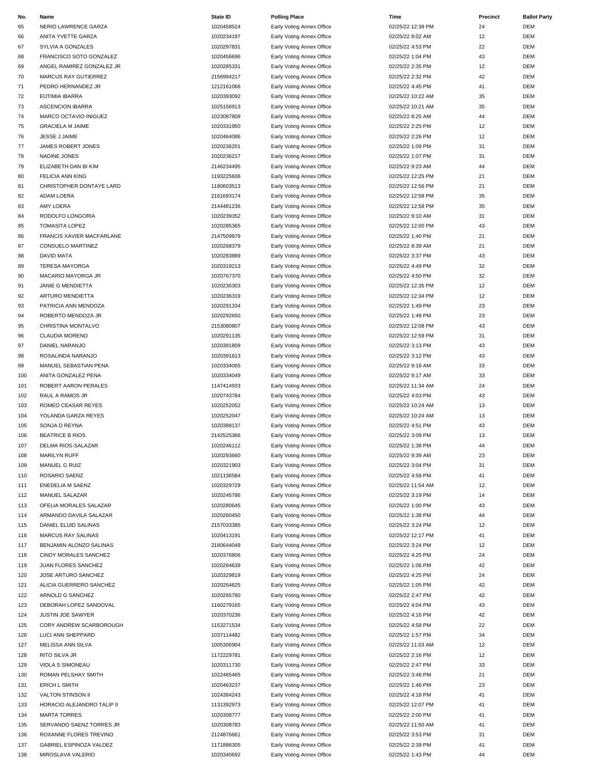| No. | Name                       | <b>State ID</b> | <b>Polling Place</b>      | Time              | Precinct | <b>Ballot Party</b> |
|-----|----------------------------|-----------------|---------------------------|-------------------|----------|---------------------|
| 65  | NERIO LAWRENCE GARZA       | 1020458524      | Early Voting Annex Office | 02/25/22 12:38 PM | 24       | <b>DEM</b>          |
| 66  | ANITA YVETTE GARZA         | 1020234197      | Early Voting Annex Office | 02/25/22 8:02 AM  | 12       | <b>DEM</b>          |
| 67  | SYLVIA A GONZALES          | 1020297831      | Early Voting Annex Office | 02/25/22 4:53 PM  | 22       | <b>DEM</b>          |
| 68  | FRANCISCO SOTO GONZALEZ    | 1020456696      | Early Voting Annex Office | 02/25/22 1:04 PM  | 43       | <b>DEM</b>          |
| 69  | ANGEL RAMIREZ GONZALEZ JR  | 1020285331      | Early Voting Annex Office | 02/25/22 2:35 PM  | 12       | <b>DEM</b>          |
| 70  | MARCUS RAY GUTIERREZ       | 2156994217      | Early Voting Annex Office | 02/25/22 2:32 PM  | 42       | <b>DEM</b>          |
| 71  | PEDRO HERNANDEZ JR         | 1212161066      | Early Voting Annex Office | 02/25/22 4:45 PM  | 41       | <b>DEM</b>          |
| 72  | <b>EUTIMIA IBARRA</b>      | 1020393092      | Early Voting Annex Office | 02/25/22 10:22 AM | 35       | <b>DEM</b>          |
| 73  | <b>ASCENCION IBARRA</b>    | 1025156913      | Early Voting Annex Office | 02/25/22 10:21 AM | 35       | <b>DEM</b>          |
| 74  | MARCO OCTAVIO INIGUEZ      | 1023087809      | Early Voting Annex Office | 02/25/22 8:25 AM  | 44       | <b>DEM</b>          |
| 75  | <b>GRACIELA M JAIME</b>    | 1020331950      | Early Voting Annex Office | 02/25/22 2:25 PM  | 12       | <b>DEM</b>          |
| 76  | JESSE J JAIME              | 1020464086      | Early Voting Annex Office | 02/25/22 2:26 PM  | 12       | <b>DEM</b>          |
| 77  | <b>JAMES ROBERT JONES</b>  | 1020236201      | Early Voting Annex Office | 02/25/22 1:09 PM  | 31       | <b>DEM</b>          |
|     |                            |                 |                           |                   | 31       |                     |
| 78  | NADINE JONES               | 1020236217      | Early Voting Annex Office | 02/25/22 1:07 PM  |          | <b>DEM</b>          |
| 79  | ELIZABETH DAN BI KIM       | 2146234495      | Early Voting Annex Office | 02/25/22 9:23 AM  | 44       | <b>DEM</b>          |
| 80  | <b>FELICIA ANN KING</b>    | 1193225606      | Early Voting Annex Office | 02/25/22 12:25 PM | 21       | <b>DEM</b>          |
| 81  | CHRISTOPHER DONTAYE LARD   | 1180603513      | Early Voting Annex Office | 02/25/22 12:56 PM | 21       | <b>DEM</b>          |
| 82  | <b>ADAM LOERA</b>          | 2161693174      | Early Voting Annex Office | 02/25/22 12:58 PM | 35       | <b>DEM</b>          |
| 83  | AMY LOERA                  | 2144481236      | Early Voting Annex Office | 02/25/22 12:58 PM | 35       | <b>DEM</b>          |
| 84  | RODOLFO LONGORIA           | 1020239352      | Early Voting Annex Office | 02/25/22 9:10 AM  | 31       | <b>DEM</b>          |
| 85  | <b>TOMASITA LOPEZ</b>      | 1020285365      | Early Voting Annex Office | 02/25/22 12:00 PM | 43       | <b>DEM</b>          |
| 86  | FRANCIS XAVIER MACFARLANE  | 2147509879      | Early Voting Annex Office | 02/25/22 1:40 PM  | 21       | <b>DEM</b>          |
| 87  | <b>CONSUELO MARTINEZ</b>   | 1020268379      | Early Voting Annex Office | 02/25/22 8:39 AM  | 21       | <b>DEM</b>          |
| 88  | <b>DAVID MATA</b>          | 1020283889      | Early Voting Annex Office | 02/25/22 3:37 PM  | 43       | <b>DEM</b>          |
| 89  | <b>TERESA MAYORGA</b>      | 1020319213      | Early Voting Annex Office | 02/25/22 4:49 PM  | 32       | <b>DEM</b>          |
| 90  | MACARIO MAYORGA JR         | 1020767370      | Early Voting Annex Office | 02/25/22 4:50 PM  | 32       | <b>DEM</b>          |
| 91  | <b>JANIE G MENDIETTA</b>   | 1020236303      | Early Voting Annex Office | 02/25/22 12:35 PM | 12       | <b>DEM</b>          |
| 92  | ARTURO MENDIETTA           | 1020236319      | Early Voting Annex Office | 02/25/22 12:34 PM | 12       | <b>DEM</b>          |
|     |                            | 1020291334      |                           |                   | 23       | <b>DEM</b>          |
| 93  | PATRICIA ANN MENDOZA       |                 | Early Voting Annex Office | 02/25/22 1:49 PM  |          |                     |
| 94  | ROBERTO MENDOZA JR         | 1020292650      | Early Voting Annex Office | 02/25/22 1:49 PM  | 23       | <b>DEM</b>          |
| 95  | CHRISTINA MONTALVO         | 2153080807      | Early Voting Annex Office | 02/25/22 12:08 PM | 43       | <b>DEM</b>          |
| 96  | CLAUDIA MORENO             | 1020291135      | Early Voting Annex Office | 02/25/22 12:59 PM | 31       | <b>DEM</b>          |
| 97  | DANIEL NARANJO             | 1020391809      | Early Voting Annex Office | 02/25/22 3:13 PM  | 43       | <b>DEM</b>          |
| 98  | ROSALINDA NARANJO          | 1020391813      | Early Voting Annex Office | 02/25/22 3:12 PM  | 43       | <b>DEM</b>          |
| 99  | MANUEL SEBASTIAN PENA      | 1020334065      | Early Voting Annex Office | 02/25/22 9:16 AM  | 33       | <b>DEM</b>          |
| 100 | ANITA GONZALEZ PENA        | 1020334049      | Early Voting Annex Office | 02/25/22 9:17 AM  | 33       | <b>DEM</b>          |
| 101 | ROBERT AARON PERALES       | 1147414933      | Early Voting Annex Office | 02/25/22 11:34 AM | 24       | <b>DEM</b>          |
| 102 | RAUL A RAMOS JR            | 1020743784      | Early Voting Annex Office | 02/25/22 4:03 PM  | 43       | <b>DEM</b>          |
| 103 | ROMEO CEASAR REYES         | 1020252052      | Early Voting Annex Office | 02/25/22 10:24 AM | 13       | <b>DEM</b>          |
| 104 | YOLANDA GARZA REYES        | 1020252047      | Early Voting Annex Office | 02/25/22 10:24 AM | 13       | <b>DEM</b>          |
| 105 | SONJA D REYNA              | 1020388137      | Early Voting Annex Office | 02/25/22 4:51 PM  | 43       | <b>DEM</b>          |
| 106 | <b>BEATRICE B RIOS</b>     | 2142525366      | Early Voting Annex Office | 02/25/22 3:09 PM  | 13       | <b>DEM</b>          |
| 107 | DELMA RIOS-SALAZAR         | 1020246112      | Early Voting Annex Office | 02/25/22 1:38 PM  |          | DEM                 |
| 108 | MARILYN RUFF               | 1020293660      | Early Voting Annex Office | 02/25/22 9:39 AM  | 23       | <b>DEM</b>          |
| 109 | MANUEL G RUIZ              | 1020321903      | Early Voting Annex Office | 02/25/22 3:04 PM  | 31       | <b>DEM</b>          |
| 110 | ROSARIO SAENZ              | 1021136584      | Early Voting Annex Office | 02/25/22 4:58 PM  | 41       | <b>DEM</b>          |
| 111 | <b>ENEDELIA M SAENZ</b>    | 1020329729      | Early Voting Annex Office | 02/25/22 11:54 AM | 12       | <b>DEM</b>          |
|     |                            |                 |                           |                   | 14       |                     |
| 112 | MANUEL SALAZAR             | 1020245786      | Early Voting Annex Office | 02/25/22 3:19 PM  |          | <b>DEM</b>          |
| 113 | OFELIA MORALES SALAZAR     | 1020280645      | Early Voting Annex Office | 02/25/22 1:00 PM  | 43       | <b>DEM</b>          |
| 114 | ARMANDO DAVILA SALAZAR     | 1020260450      | Early Voting Annex Office | 02/25/22 1:38 PM  | 44       | <b>DEM</b>          |
| 115 | DANIEL ELUID SALINAS       | 2157033385      | Early Voting Annex Office | 02/25/22 3:24 PM  | 12       | <b>DEM</b>          |
| 116 | MARCUS RAY SALINAS         | 1020413191      | Early Voting Annex Office | 02/25/22 12:17 PM | 41       | <b>DEM</b>          |
| 117 | BENJAMIN ALONZO SALINAS    | 2180644049      | Early Voting Annex Office | 02/25/22 3:24 PM  | 12       | <b>DEM</b>          |
| 118 | CINDY MORALES SANCHEZ      | 1020376806      | Early Voting Annex Office | 02/25/22 4:25 PM  | 24       | <b>DEM</b>          |
| 119 | JUAN FLORES SANCHEZ        | 1020264639      | Early Voting Annex Office | 02/25/22 1:06 PM  | 42       | <b>DEM</b>          |
| 120 | JOSE ARTURO SANCHEZ        | 1020329819      | Early Voting Annex Office | 02/25/22 4:25 PM  | 24       | <b>DEM</b>          |
| 121 | ALICIA GUERRERO SANCHEZ    | 1020264625      | Early Voting Annex Office | 02/25/22 1:05 PM  | 42       | <b>DEM</b>          |
| 122 | ARNOLD G SANCHEZ           | 1020265780      | Early Voting Annex Office | 02/25/22 2:47 PM  | 42       | <b>DEM</b>          |
| 123 | DEBORAH LOPEZ SANDOVAL     | 1160279165      | Early Voting Annex Office | 02/25/22 4:04 PM  | 43       | <b>DEM</b>          |
| 124 | JUSTIN JOE SAWYER          | 1020370236      | Early Voting Annex Office | 02/25/22 4:16 PM  | 42       | <b>DEM</b>          |
| 125 | CORY ANDREW SCARBOROUGH    | 1153271534      | Early Voting Annex Office | 02/25/22 4:58 PM  | 22       | <b>DEM</b>          |
| 126 | LUCI ANN SHEPPARD          | 1037114482      | Early Voting Annex Office | 02/25/22 1:57 PM  | 34       | <b>DEM</b>          |
| 127 | MELISSA ANN SILVA          | 1005306904      | Early Voting Annex Office | 02/25/22 11:03 AM | 12       | <b>DEM</b>          |
| 128 | RITO SILVA JR              | 1172229781      | Early Voting Annex Office | 02/25/22 2:16 PM  | 12       | <b>DEM</b>          |
|     |                            |                 |                           |                   |          |                     |
| 129 | VIOLA S SIMONEAU           | 1020311730      | Early Voting Annex Office | 02/25/22 2:47 PM  | 33       | <b>DEM</b>          |
| 130 | ROMAN PELSHAY SMITH        | 1022465465      | Early Voting Annex Office | 02/25/22 3:48 PM  | 21       | <b>DEM</b>          |
| 131 | <b>ERICH L SMITH</b>       | 1020463237      | Early Voting Annex Office | 02/25/22 1:46 PM  | 23       | <b>DEM</b>          |
| 132 | VALTON STINSON II          | 1024384243      | Early Voting Annex Office | 02/25/22 4:18 PM  | 41       | <b>DEM</b>          |
| 133 | HORACIO ALEJANDRO TALIP II | 1131392973      | Early Voting Annex Office | 02/25/22 12:07 PM | 41       | <b>DEM</b>          |
| 134 | <b>MARTA TORRES</b>        | 1020308777      | Early Voting Annex Office | 02/25/22 2:00 PM  | 41       | <b>DEM</b>          |
| 135 | SERVANDO SAENZ TORRES JR   | 1020308783      | Early Voting Annex Office | 02/25/22 11:50 AM | 41       | <b>DEM</b>          |
| 136 | ROXANNE FLORES TREVINO     | 2124876661      | Early Voting Annex Office | 02/25/22 3:53 PM  | 31       | <b>DEM</b>          |
| 137 | GABRIEL ESPINOZA VALDEZ    | 1171886305      | Early Voting Annex Office | 02/25/22 2:39 PM  | 41       | <b>DEM</b>          |
| 138 | MIROSLAVA VALERIO          | 1020340692      | Early Voting Annex Office | 02/25/22 1:43 PM  | 44       | <b>DEM</b>          |